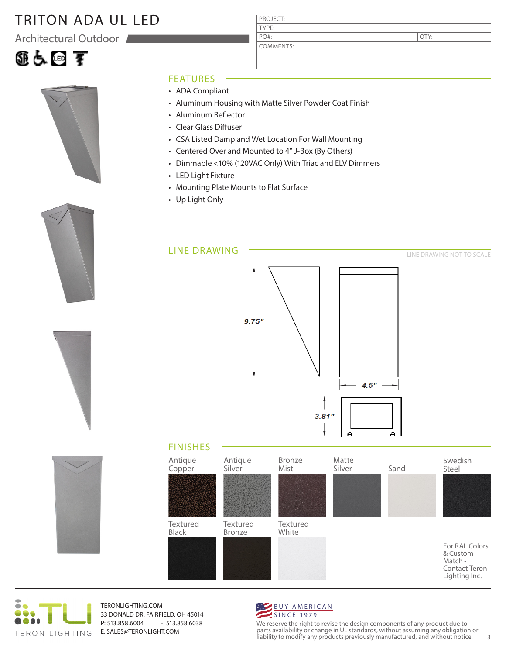# TRITON ADA UL LED

Architectural Outdoor







PROJECT:

QTY:

### FEATURES

- ADA Compliant
- Aluminum Housing with Matte Silver Powder Coat Finish
- Aluminum Reflector
- Clear Glass Diffuser
- CSA Listed Damp and Wet Location For Wall Mounting
- Centered Over and Mounted to 4" J-Box (By Others)
- Dimmable <10% (120VAC Only) With Triac and ELV Dimmers
- LED Light Fixture
- Mounting Plate Mounts to Flat Surface
- Up Light Only





TERONLIGHTING.COM 33 DONALD DR, FAIRFIELD, OH 45014 P: 513.858.6004 F: 513.858.6038 E: SALES@TERONLIGHT.COM



We reserve the right to revise the design components of any product due to parts availability or change in UL standards, without assuming any obligation or liability to modify any products previously manufactured, and without notice. 3